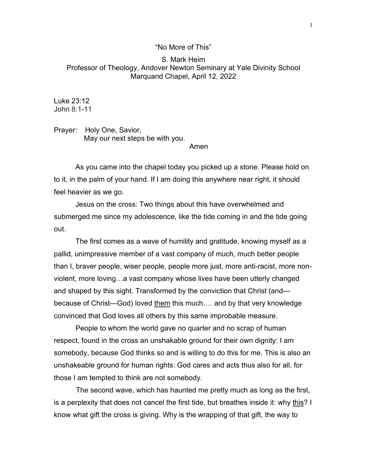## "No More of This"

## S. Mark Heim Professor of Theology, Andover Newton Seminary at Yale Divinity School Marquand Chapel, April 12, 2022

Luke 23:12 John 8:1-11

Prayer: Holy One, Savior, May our next steps be with you.

Amen

As you came into the chapel today you picked up a stone. Please hold on to it, in the palm of your hand. If I am doing this anywhere near right, it should feel heavier as we go.

Jesus on the cross: Two things about this have overwhelmed and submerged me since my adolescence, like the tide coming in and the tide going out.

The first comes as a wave of humility and gratitude, knowing myself as a pallid, unimpressive member of a vast company of much, much better people than I, braver people, wiser people, people more just, more anti-racist, more nonviolent, more loving…a vast company whose lives have been utterly changed and shaped by this sight. Transformed by the conviction that Christ (and because of Christ—God) loved them this much…. and by that very knowledge convinced that God loves all others by this same improbable measure.

People to whom the world gave no quarter and no scrap of human respect, found in the cross an unshakable ground for their own dignity: I am somebody, because God thinks so and is willing to do this for me. This is also an unshakeable ground for human rights: God cares and acts thus also for all, for those I am tempted to think are not somebody.

 The second wave, which has haunted me pretty much as long as the first, is a perplexity that does not cancel the first tide, but breathes inside it: why this? I know what gift the cross is giving. Why is the wrapping of that gift, the way to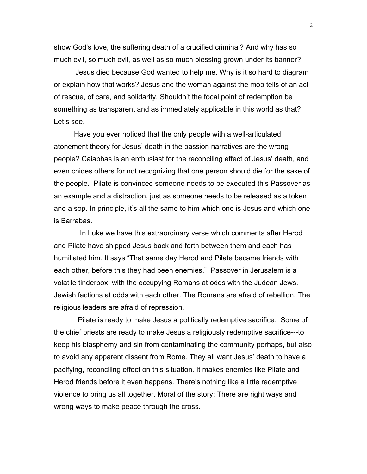show God's love, the suffering death of a crucified criminal? And why has so much evil, so much evil, as well as so much blessing grown under its banner?

Jesus died because God wanted to help me. Why is it so hard to diagram or explain how that works? Jesus and the woman against the mob tells of an act of rescue, of care, and solidarity. Shouldn't the focal point of redemption be something as transparent and as immediately applicable in this world as that? Let's see.

 Have you ever noticed that the only people with a well-articulated atonement theory for Jesus' death in the passion narratives are the wrong people? Caiaphas is an enthusiast for the reconciling effect of Jesus' death, and even chides others for not recognizing that one person should die for the sake of the people. Pilate is convinced someone needs to be executed this Passover as an example and a distraction, just as someone needs to be released as a token and a sop. In principle, it's all the same to him which one is Jesus and which one is Barrabas.

 In Luke we have this extraordinary verse which comments after Herod and Pilate have shipped Jesus back and forth between them and each has humiliated him. It says "That same day Herod and Pilate became friends with each other, before this they had been enemies." Passover in Jerusalem is a volatile tinderbox, with the occupying Romans at odds with the Judean Jews. Jewish factions at odds with each other. The Romans are afraid of rebellion. The religious leaders are afraid of repression.

 Pilate is ready to make Jesus a politically redemptive sacrifice. Some of the chief priests are ready to make Jesus a religiously redemptive sacrifice---to keep his blasphemy and sin from contaminating the community perhaps, but also to avoid any apparent dissent from Rome. They all want Jesus' death to have a pacifying, reconciling effect on this situation. It makes enemies like Pilate and Herod friends before it even happens. There's nothing like a little redemptive violence to bring us all together. Moral of the story: There are right ways and wrong ways to make peace through the cross.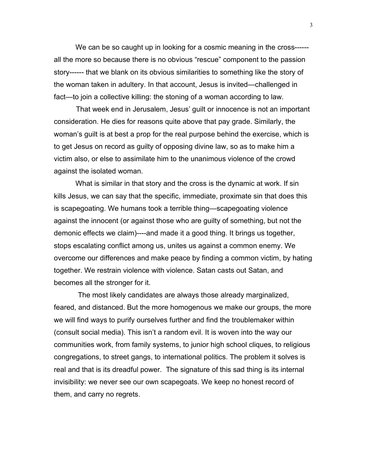We can be so caught up in looking for a cosmic meaning in the cross-----all the more so because there is no obvious "rescue" component to the passion story------ that we blank on its obvious similarities to something like the story of the woman taken in adultery. In that account, Jesus is invited—challenged in fact—to join a collective killing: the stoning of a woman according to law.

 That week end in Jerusalem, Jesus' guilt or innocence is not an important consideration. He dies for reasons quite above that pay grade. Similarly, the woman's guilt is at best a prop for the real purpose behind the exercise, which is to get Jesus on record as guilty of opposing divine law, so as to make him a victim also, or else to assimilate him to the unanimous violence of the crowd against the isolated woman.

What is similar in that story and the cross is the dynamic at work. If sin kills Jesus, we can say that the specific, immediate, proximate sin that does this is scapegoating. We humans took a terrible thing—scapegoating violence against the innocent (or against those who are guilty of something, but not the demonic effects we claim)----and made it a good thing. It brings us together, stops escalating conflict among us, unites us against a common enemy. We overcome our differences and make peace by finding a common victim, by hating together. We restrain violence with violence. Satan casts out Satan, and becomes all the stronger for it.

 The most likely candidates are always those already marginalized, feared, and distanced. But the more homogenous we make our groups, the more we will find ways to purify ourselves further and find the troublemaker within (consult social media). This isn't a random evil. It is woven into the way our communities work, from family systems, to junior high school cliques, to religious congregations, to street gangs, to international politics. The problem it solves is real and that is its dreadful power. The signature of this sad thing is its internal invisibility: we never see our own scapegoats. We keep no honest record of them, and carry no regrets.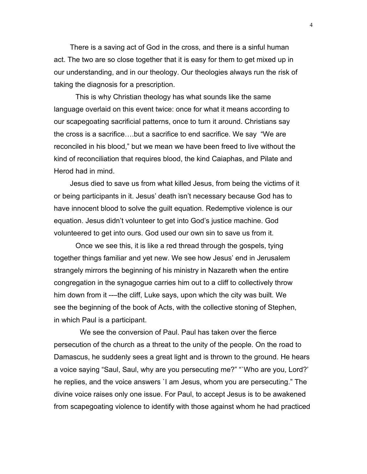There is a saving act of God in the cross, and there is a sinful human act. The two are so close together that it is easy for them to get mixed up in our understanding, and in our theology. Our theologies always run the risk of taking the diagnosis for a prescription.

This is why Christian theology has what sounds like the same language overlaid on this event twice: once for what it means according to our scapegoating sacrificial patterns, once to turn it around. Christians say the cross is a sacrifice….but a sacrifice to end sacrifice. We say "We are reconciled in his blood," but we mean we have been freed to live without the kind of reconciliation that requires blood, the kind Caiaphas, and Pilate and Herod had in mind.

 Jesus died to save us from what killed Jesus, from being the victims of it or being participants in it. Jesus' death isn't necessary because God has to have innocent blood to solve the guilt equation. Redemptive violence is our equation. Jesus didn't volunteer to get into God's justice machine. God volunteered to get into ours. God used our own sin to save us from it.

 Once we see this, it is like a red thread through the gospels, tying together things familiar and yet new. We see how Jesus' end in Jerusalem strangely mirrors the beginning of his ministry in Nazareth when the entire congregation in the synagogue carries him out to a cliff to collectively throw him down from it ----the cliff, Luke says, upon which the city was built. We see the beginning of the book of Acts, with the collective stoning of Stephen, in which Paul is a participant.

 We see the conversion of Paul. Paul has taken over the fierce persecution of the church as a threat to the unity of the people. On the road to Damascus, he suddenly sees a great light and is thrown to the ground. He hears a voice saying "Saul, Saul, why are you persecuting me?" "`Who are you, Lord?' he replies, and the voice answers `I am Jesus, whom you are persecuting." The divine voice raises only one issue. For Paul, to accept Jesus is to be awakened from scapegoating violence to identify with those against whom he had practiced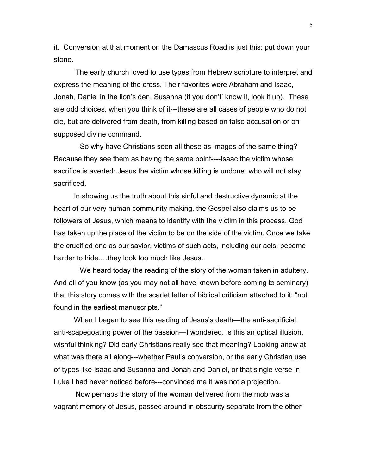it. Conversion at that moment on the Damascus Road is just this: put down your stone.

The early church loved to use types from Hebrew scripture to interpret and express the meaning of the cross. Their favorites were Abraham and Isaac, Jonah, Daniel in the lion's den, Susanna (if you don't' know it, look it up). These are odd choices, when you think of it---these are all cases of people who do not die, but are delivered from death, from killing based on false accusation or on supposed divine command.

 So why have Christians seen all these as images of the same thing? Because they see them as having the same point----Isaac the victim whose sacrifice is averted: Jesus the victim whose killing is undone, who will not stay sacrificed.

 In showing us the truth about this sinful and destructive dynamic at the heart of our very human community making, the Gospel also claims us to be followers of Jesus, which means to identify with the victim in this process. God has taken up the place of the victim to be on the side of the victim. Once we take the crucified one as our savior, victims of such acts, including our acts, become harder to hide.…they look too much like Jesus.

 We heard today the reading of the story of the woman taken in adultery. And all of you know (as you may not all have known before coming to seminary) that this story comes with the scarlet letter of biblical criticism attached to it: "not found in the earliest manuscripts."

 When I began to see this reading of Jesus's death—the anti-sacrificial, anti-scapegoating power of the passion—I wondered. Is this an optical illusion, wishful thinking? Did early Christians really see that meaning? Looking anew at what was there all along---whether Paul's conversion, or the early Christian use of types like Isaac and Susanna and Jonah and Daniel, or that single verse in Luke I had never noticed before---convinced me it was not a projection.

Now perhaps the story of the woman delivered from the mob was a vagrant memory of Jesus, passed around in obscurity separate from the other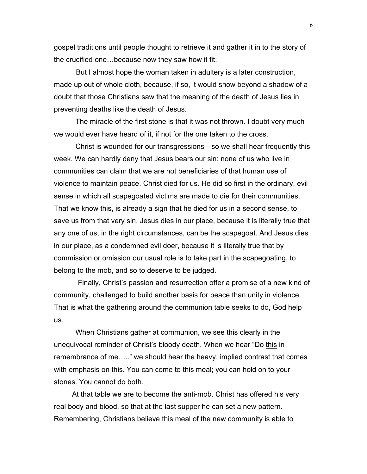gospel traditions until people thought to retrieve it and gather it in to the story of the crucified one…because now they saw how it fit.

 But I almost hope the woman taken in adultery is a later construction, made up out of whole cloth, because, if so, it would show beyond a shadow of a doubt that those Christians saw that the meaning of the death of Jesus lies in preventing deaths like the death of Jesus.

The miracle of the first stone is that it was not thrown. I doubt very much we would ever have heard of it, if not for the one taken to the cross.

Christ is wounded for our transgressions—so we shall hear frequently this week. We can hardly deny that Jesus bears our sin: none of us who live in communities can claim that we are not beneficiaries of that human use of violence to maintain peace. Christ died for us. He did so first in the ordinary, evil sense in which all scapegoated victims are made to die for their communities. That we know this, is already a sign that he died for us in a second sense, to save us from that very sin. Jesus dies in our place, because it is literally true that any one of us, in the right circumstances, can be the scapegoat. And Jesus dies in our place, as a condemned evil doer, because it is literally true that by commission or omission our usual role is to take part in the scapegoating, to belong to the mob, and so to deserve to be judged.

 Finally, Christ's passion and resurrection offer a promise of a new kind of community, challenged to build another basis for peace than unity in violence. That is what the gathering around the communion table seeks to do, God help us.

When Christians gather at communion, we see this clearly in the unequivocal reminder of Christ's bloody death. When we hear "Do this in remembrance of me….." we should hear the heavy, implied contrast that comes with emphasis on this. You can come to this meal; you can hold on to your stones. You cannot do both.

 At that table we are to become the anti-mob. Christ has offered his very real body and blood, so that at the last supper he can set a new pattern. Remembering, Christians believe this meal of the new community is able to